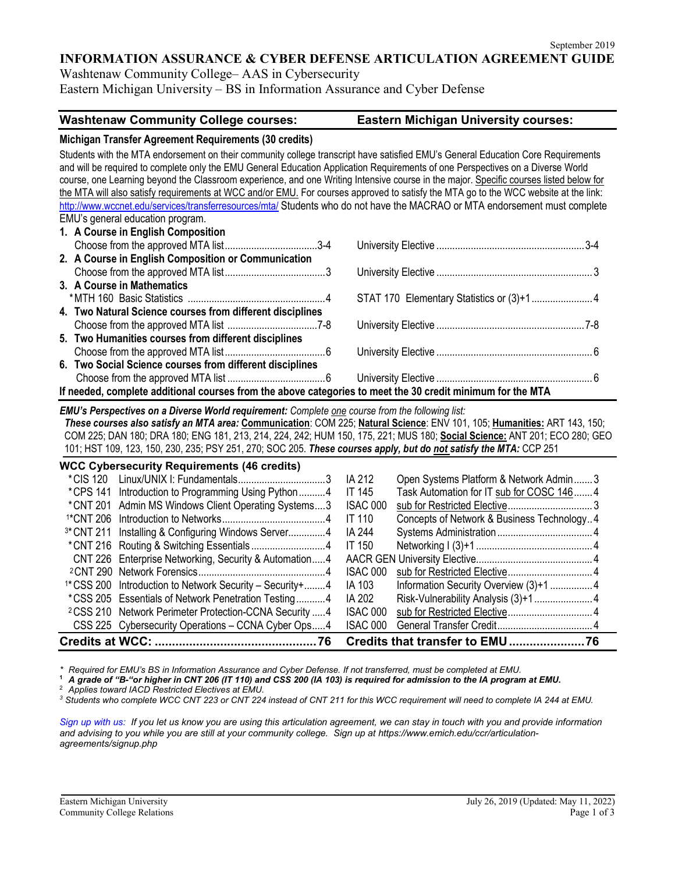**INFORMATION ASSURANCE & CYBER DEFENSE ARTICULATION AGREEMENT GUIDE**

Washtenaw Community College– AAS in Cybersecurity Eastern Michigan University – BS in Information Assurance and Cyber Defense

## **Washtenaw Community College courses: Eastern Michigan University courses:**

## **Michigan Transfer Agreement Requirements (30 credits)**

Students with the MTA endorsement on their community college transcript have satisfied EMU's General Education Core Requirements and will be required to complete only the EMU General Education Application Requirements of one Perspectives on a Diverse World course, one Learning beyond the Classroom experience, and one Writing Intensive course in the major. Specific courses listed below for the MTA will also satisfy requirements at WCC and/or EMU. For courses approved to satisfy the MTA go to the WCC website at the link: <http://www.wccnet.edu/services/transferresources/mta/> Students who do not have the MACRAO or MTA endorsement must complete EMU's general education program.

| 1. A Course in English Composition                                                                         |  |  |  |
|------------------------------------------------------------------------------------------------------------|--|--|--|
|                                                                                                            |  |  |  |
| 2. A Course in English Composition or Communication                                                        |  |  |  |
|                                                                                                            |  |  |  |
| 3. A Course in Mathematics                                                                                 |  |  |  |
|                                                                                                            |  |  |  |
| 4. Two Natural Science courses from different disciplines                                                  |  |  |  |
|                                                                                                            |  |  |  |
| 5. Two Humanities courses from different disciplines                                                       |  |  |  |
|                                                                                                            |  |  |  |
| 6. Two Social Science courses from different disciplines                                                   |  |  |  |
|                                                                                                            |  |  |  |
| If needed, complete additional courses from the above categories to meet the 30 credit minimum for the MTA |  |  |  |

#### *EMU's Perspectives on a Diverse World requirement: Complete one course from the following list:*

*These courses also satisfy an MTA area:* **Communication**: COM 225; **Natural Science**: ENV 101, 105; **Humanities:** ART 143, 150; COM 225; DAN 180; DRA 180; ENG 181, 213, 214, 224, 242; HUM 150, 175, 221; MUS 180; **Social Science:** ANT 201; ECO 280; GEO 101; HST 109, 123, 150, 230, 235; PSY 251, 270; SOC 205. *These courses apply, but do not satisfy the MTA:* CCP 251

| <b>WCC Cybersecurity Requirements (46 credits)</b> |                                                                        |                 |                                            |  |
|----------------------------------------------------|------------------------------------------------------------------------|-----------------|--------------------------------------------|--|
| *CIS 120                                           |                                                                        | IA 212          | Open Systems Platform & Network Admin3     |  |
|                                                    | *CPS 141 Introduction to Programming Using Python4                     | <b>IT 145</b>   | Task Automation for IT sub for COSC 146 4  |  |
|                                                    | * CNT 201 Admin MS Windows Client Operating Systems3                   | <b>ISAC 000</b> |                                            |  |
|                                                    |                                                                        | <b>IT 110</b>   | Concepts of Network & Business Technology4 |  |
|                                                    | <sup>3*</sup> CNT 211 Installing & Configuring Windows Server4         | IA 244          |                                            |  |
|                                                    |                                                                        | IT 150          |                                            |  |
|                                                    | CNT 226 Enterprise Networking, Security & Automation4                  |                 |                                            |  |
|                                                    |                                                                        | <b>ISAC 000</b> |                                            |  |
|                                                    | <sup>1*</sup> CSS 200 Introduction to Network Security – Security +  4 | IA 103          |                                            |  |
|                                                    | *CSS 205 Essentials of Network Penetration Testing4                    | IA 202          |                                            |  |
|                                                    | <sup>2</sup> CSS 210 Network Perimeter Protection-CCNA Security  4     | ISAC 000        |                                            |  |
|                                                    | CSS 225 Cybersecurity Operations - CCNA Cyber Ops4                     | <b>ISAC 000</b> |                                            |  |
| <b>Credits at WCC:.</b>                            |                                                                        |                 |                                            |  |

*\* Required for EMU's BS in Information Assurance and Cyber Defense. If not transferred, must be completed at EMU.*

**<sup>1</sup>** *A grade of "B-"or higher in CNT 206 (IT 110) and CSS 200 (IA 103) is required for admission to the IA program at EMU.*

<sup>3</sup> Students who complete WCC CNT 223 or CNT 224 instead of CNT 211 for this WCC requirement will need to complete IA 244 at EMU.

*[Sign up with us: I](https://www.emich.edu/ccr/articulation-agreements/signup.php)f you let us know you are using this articulation agreement, we can stay in touch with you and provide information and advising to you while you are still at your community college. Sign up at https://www.emich.edu/ccr/articulationagreements/signup.php*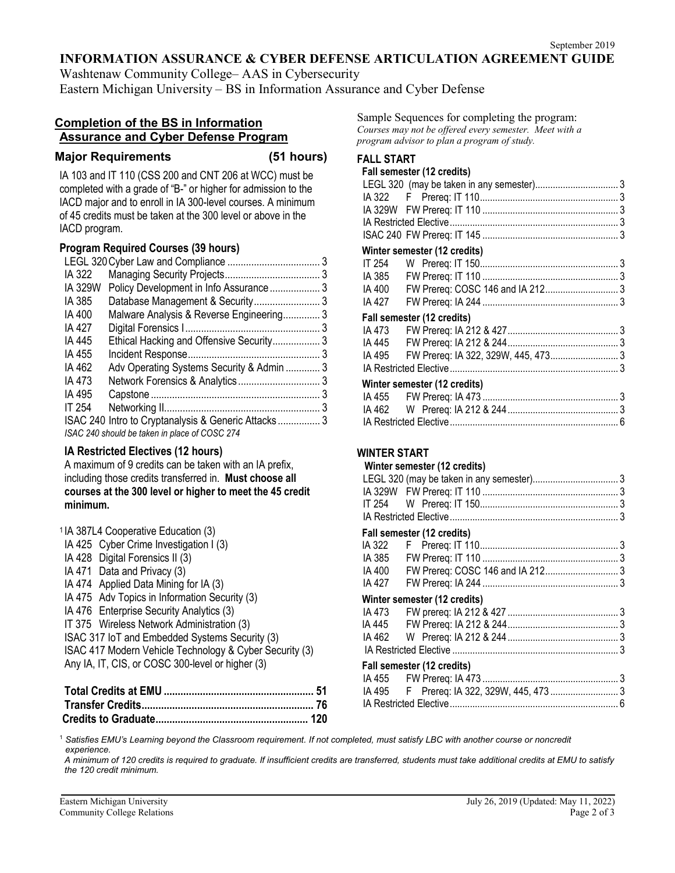## **INFORMATION ASSURANCE & CYBER DEFENSE ARTICULATION AGREEMENT GUIDE**

Washtenaw Community College– AAS in Cybersecurity

Eastern Michigan University – BS in Information Assurance and Cyber Defense

# **Completion of the BS in Information Assurance and Cyber Defense Program**

## **Major Requirements (51 hours)**

IA 103 and IT 110 (CSS 200 and CNT 206 at WCC) must be completed with a grade of "B-" or higher for admission to the IACD major and to enroll in IA 300-level courses. A minimum of 45 credits must be taken at the 300 level or above in the IACD program.

# **Program Required Courses (39 hours)**

| IA 322                                        |                                           |  |  |
|-----------------------------------------------|-------------------------------------------|--|--|
| IA 329W                                       | Policy Development in Info Assurance 3    |  |  |
| IA 385                                        |                                           |  |  |
| IA 400                                        | Malware Analysis & Reverse Engineering3   |  |  |
| IA 427                                        |                                           |  |  |
| IA 445                                        | Ethical Hacking and Offensive Security3   |  |  |
| IA 455                                        |                                           |  |  |
| IA 462                                        | Adv Operating Systems Security & Admin  3 |  |  |
| IA 473                                        |                                           |  |  |
| IA 495                                        |                                           |  |  |
| IT 254                                        |                                           |  |  |
|                                               |                                           |  |  |
| ISAC 240 should be taken in place of COSC 274 |                                           |  |  |

# **IA Restricted Electives (12 hours)**

A maximum of 9 credits can be taken with an IA prefix, including those credits transferred in. **Must choose all courses at the 300 level or higher to meet the 45 credit minimum.**

|                                                  | <sup>1</sup> IA 387L4 Cooperative Education (3)         |  |  |
|--------------------------------------------------|---------------------------------------------------------|--|--|
|                                                  | IA 425 Cyber Crime Investigation I (3)                  |  |  |
|                                                  | IA 428 Digital Forensics II (3)                         |  |  |
|                                                  | IA 471 Data and Privacy (3)                             |  |  |
|                                                  | IA 474 Applied Data Mining for IA (3)                   |  |  |
|                                                  | IA 475 Adv Topics in Information Security (3)           |  |  |
|                                                  | IA 476 Enterprise Security Analytics (3)                |  |  |
|                                                  | IT 375 Wireless Network Administration (3)              |  |  |
|                                                  | ISAC 317 IoT and Embedded Systems Security (3)          |  |  |
|                                                  | ISAC 417 Modern Vehicle Technology & Cyber Security (3) |  |  |
| Any IA, IT, CIS, or COSC 300-level or higher (3) |                                                         |  |  |
|                                                  |                                                         |  |  |

Sample Sequences for completing the program: *Courses may not be offered every semester. Meet with a program advisor to plan a program of study.*

# **FALL START**

# **Fall semester (12 credits)**

| $\overline{1}$ all scilicater (i.e. credita) |                              |  |  |
|----------------------------------------------|------------------------------|--|--|
|                                              |                              |  |  |
|                                              |                              |  |  |
|                                              |                              |  |  |
|                                              |                              |  |  |
|                                              |                              |  |  |
|                                              | Winter semester (12 credits) |  |  |
|                                              |                              |  |  |
|                                              |                              |  |  |
|                                              |                              |  |  |
| IA 427                                       |                              |  |  |
| Fall semester (12 credits)                   |                              |  |  |
|                                              |                              |  |  |
|                                              |                              |  |  |
|                                              |                              |  |  |
|                                              |                              |  |  |

## **Winter semester (12 credits)**

| <b>THILLET SCHILLS</b> |  |
|------------------------|--|
|                        |  |
|                        |  |
|                        |  |

# **WINTER START**

### **Winter semester (12 credits)**

## **Fall semester (12 credits)**

| <b>Tall Scribberg TIE biballs</b> |  |
|-----------------------------------|--|
|                                   |  |
|                                   |  |
|                                   |  |
|                                   |  |
| Winter semester (12 credits)      |  |
|                                   |  |
|                                   |  |
|                                   |  |
|                                   |  |
| Fall semester (12 credits)        |  |
|                                   |  |
|                                   |  |
|                                   |  |

<sup>1</sup> *Satisfies EMU's Learning beyond the Classroom requirement. If not completed, must satisfy LBC with another course or noncredit experience.*

*A minimum of 120 credits is required to graduate. If insufficient credits are transferred, students must take additional credits at EMU to satisfy the 120 credit minimum.*